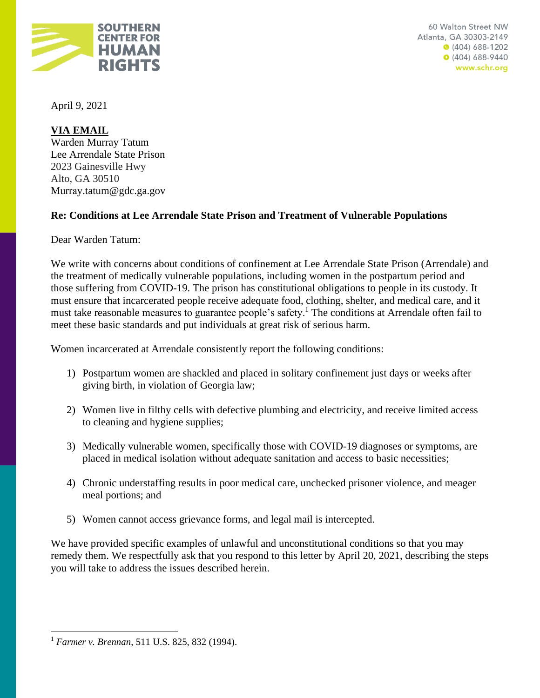

April 9, 2021

**VIA EMAIL** 

Warden Murray Tatum Lee Arrendale State Prison 2023 Gainesville Hwy Alto, GA 30510 Murray.tatum@gdc.ga.gov

# **Re: Conditions at Lee Arrendale State Prison and Treatment of Vulnerable Populations**

Dear Warden Tatum:

We write with concerns about conditions of confinement at Lee Arrendale State Prison (Arrendale) and the treatment of medically vulnerable populations, including women in the postpartum period and those suffering from COVID-19. The prison has constitutional obligations to people in its custody. It must ensure that incarcerated people receive adequate food, clothing, shelter, and medical care, and it must take reasonable measures to guarantee people's safety.<sup>1</sup> The conditions at Arrendale often fail to meet these basic standards and put individuals at great risk of serious harm.

Women incarcerated at Arrendale consistently report the following conditions:

- 1) Postpartum women are shackled and placed in solitary confinement just days or weeks after giving birth, in violation of Georgia law;
- 2) Women live in filthy cells with defective plumbing and electricity, and receive limited access to cleaning and hygiene supplies;
- 3) Medically vulnerable women, specifically those with COVID-19 diagnoses or symptoms, are placed in medical isolation without adequate sanitation and access to basic necessities;
- 4) Chronic understaffing results in poor medical care, unchecked prisoner violence, and meager meal portions; and
- 5) Women cannot access grievance forms, and legal mail is intercepted.

We have provided specific examples of unlawful and unconstitutional conditions so that you may remedy them. We respectfully ask that you respond to this letter by April 20, 2021, describing the steps you will take to address the issues described herein.

<sup>1</sup> *Farmer v. Brennan*, 511 U.S. 825, 832 (1994).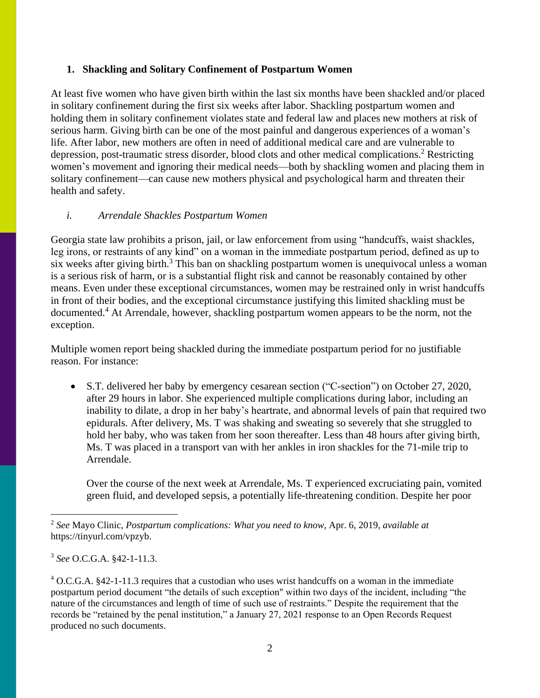#### **1. Shackling and Solitary Confinement of Postpartum Women**

At least five women who have given birth within the last six months have been shackled and/or placed in solitary confinement during the first six weeks after labor. Shackling postpartum women and holding them in solitary confinement violates state and federal law and places new mothers at risk of serious harm. Giving birth can be one of the most painful and dangerous experiences of a woman's life. After labor, new mothers are often in need of additional medical care and are vulnerable to depression, post-traumatic stress disorder, blood clots and other medical complications.<sup>2</sup> Restricting women's movement and ignoring their medical needs—both by shackling women and placing them in solitary confinement—can cause new mothers physical and psychological harm and threaten their health and safety.

### *i. Arrendale Shackles Postpartum Women*

Georgia state law prohibits a prison, jail, or law enforcement from using "handcuffs, waist shackles, leg irons, or restraints of any kind" on a woman in the immediate postpartum period, defined as up to six weeks after giving birth.<sup>3</sup> This ban on shackling postpartum women is unequivocal unless a woman is a serious risk of harm, or is a substantial flight risk and cannot be reasonably contained by other means. Even under these exceptional circumstances, women may be restrained only in wrist handcuffs in front of their bodies, and the exceptional circumstance justifying this limited shackling must be documented.<sup>4</sup> At Arrendale, however, shackling postpartum women appears to be the norm, not the exception.

Multiple women report being shackled during the immediate postpartum period for no justifiable reason. For instance:

• S.T. delivered her baby by emergency cesarean section ("C-section") on October 27, 2020, after 29 hours in labor. She experienced multiple complications during labor, including an inability to dilate, a drop in her baby's heartrate, and abnormal levels of pain that required two epidurals. After delivery, Ms. T was shaking and sweating so severely that she struggled to hold her baby, who was taken from her soon thereafter. Less than 48 hours after giving birth, Ms. T was placed in a transport van with her ankles in iron shackles for the 71-mile trip to Arrendale.

Over the course of the next week at Arrendale, Ms. T experienced excruciating pain, vomited green fluid, and developed sepsis, a potentially life-threatening condition. Despite her poor

<sup>2</sup> *See* Mayo Clinic, *Postpartum complications: What you need to know*, Apr. 6, 2019, *available at* https://tinyurl.com/vpzyb.

<sup>3</sup> *See* O.C.G.A. §42-1-11.3.

<sup>4</sup> O.C.G.A. §42-1-11.3 requires that a custodian who uses wrist handcuffs on a woman in the immediate postpartum period document "the details of such exception" within two days of the incident, including "the nature of the circumstances and length of time of such use of restraints." Despite the requirement that the records be "retained by the penal institution," a January 27, 2021 response to an Open Records Request produced no such documents.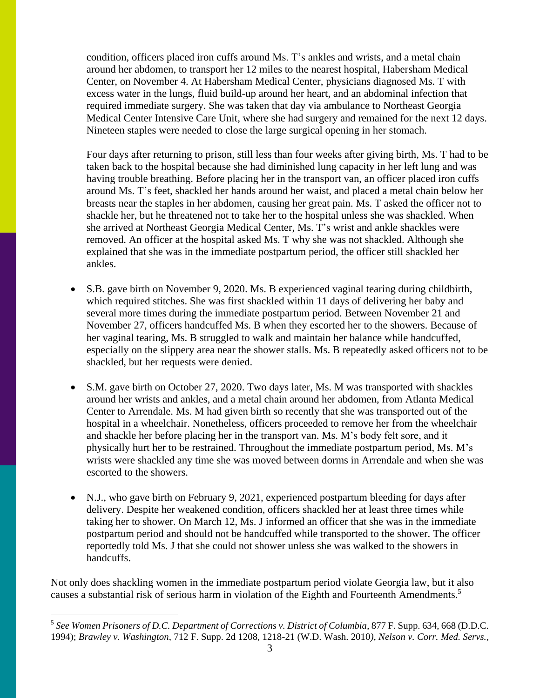condition, officers placed iron cuffs around Ms. T's ankles and wrists, and a metal chain around her abdomen, to transport her 12 miles to the nearest hospital, Habersham Medical Center, on November 4. At Habersham Medical Center, physicians diagnosed Ms. T with excess water in the lungs, fluid build-up around her heart, and an abdominal infection that required immediate surgery. She was taken that day via ambulance to Northeast Georgia Medical Center Intensive Care Unit, where she had surgery and remained for the next 12 days. Nineteen staples were needed to close the large surgical opening in her stomach.

Four days after returning to prison, still less than four weeks after giving birth, Ms. T had to be taken back to the hospital because she had diminished lung capacity in her left lung and was having trouble breathing. Before placing her in the transport van, an officer placed iron cuffs around Ms. T's feet, shackled her hands around her waist, and placed a metal chain below her breasts near the staples in her abdomen, causing her great pain. Ms. T asked the officer not to shackle her, but he threatened not to take her to the hospital unless she was shackled. When she arrived at Northeast Georgia Medical Center, Ms. T's wrist and ankle shackles were removed. An officer at the hospital asked Ms. T why she was not shackled. Although she explained that she was in the immediate postpartum period, the officer still shackled her ankles.

- S.B. gave birth on November 9, 2020. Ms. B experienced vaginal tearing during childbirth, which required stitches. She was first shackled within 11 days of delivering her baby and several more times during the immediate postpartum period. Between November 21 and November 27, officers handcuffed Ms. B when they escorted her to the showers. Because of her vaginal tearing, Ms. B struggled to walk and maintain her balance while handcuffed, especially on the slippery area near the shower stalls. Ms. B repeatedly asked officers not to be shackled, but her requests were denied.
- S.M. gave birth on October 27, 2020. Two days later, Ms. M was transported with shackles around her wrists and ankles, and a metal chain around her abdomen, from Atlanta Medical Center to Arrendale. Ms. M had given birth so recently that she was transported out of the hospital in a wheelchair. Nonetheless, officers proceeded to remove her from the wheelchair and shackle her before placing her in the transport van. Ms. M's body felt sore, and it physically hurt her to be restrained. Throughout the immediate postpartum period, Ms. M's wrists were shackled any time she was moved between dorms in Arrendale and when she was escorted to the showers.
- N.J., who gave birth on February 9, 2021, experienced postpartum bleeding for days after delivery. Despite her weakened condition, officers shackled her at least three times while taking her to shower. On March 12, Ms. J informed an officer that she was in the immediate postpartum period and should not be handcuffed while transported to the shower. The officer reportedly told Ms. J that she could not shower unless she was walked to the showers in handcuffs.

Not only does shackling women in the immediate postpartum period violate Georgia law, but it also causes a substantial risk of serious harm in violation of the Eighth and Fourteenth Amendments.<sup>5</sup>

<sup>&</sup>lt;sup>5</sup> See Women Prisoners of D.C. Department of Corrections v. District of Columbia, 877 F. Supp. 634, 668 (D.D.C. 1994); *Brawley v. Washington*, 712 F. Supp. 2d 1208, 1218-21 (W.D. Wash. 2010*), Nelson v. Corr. Med. Servs.,*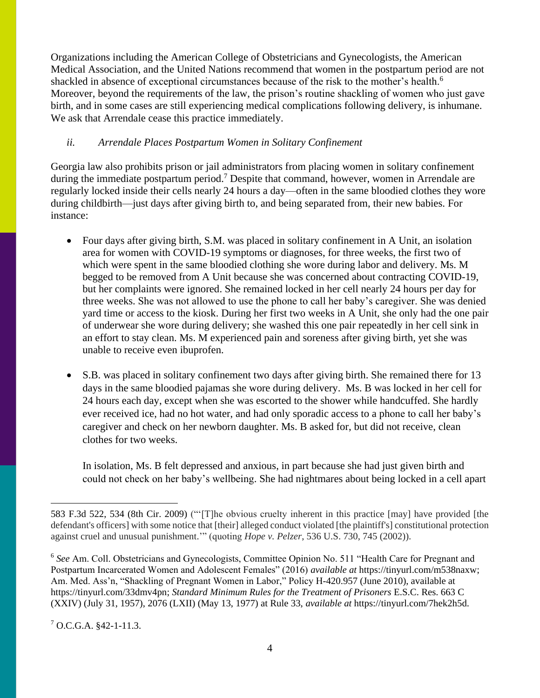Organizations including the American College of Obstetricians and Gynecologists, the American Medical Association, and the United Nations recommend that women in the postpartum period are not shackled in absence of exceptional circumstances because of the risk to the mother's health.<sup>6</sup> Moreover, beyond the requirements of the law, the prison's routine shackling of women who just gave birth, and in some cases are still experiencing medical complications following delivery, is inhumane. We ask that Arrendale cease this practice immediately.

### *ii. Arrendale Places Postpartum Women in Solitary Confinement*

Georgia law also prohibits prison or jail administrators from placing women in solitary confinement during the immediate postpartum period.<sup>7</sup> Despite that command, however, women in Arrendale are regularly locked inside their cells nearly 24 hours a day—often in the same bloodied clothes they wore during childbirth—just days after giving birth to, and being separated from, their new babies. For instance:

- Four days after giving birth, S.M. was placed in solitary confinement in A Unit, an isolation area for women with COVID-19 symptoms or diagnoses, for three weeks, the first two of which were spent in the same bloodied clothing she wore during labor and delivery. Ms. M begged to be removed from A Unit because she was concerned about contracting COVID-19, but her complaints were ignored. She remained locked in her cell nearly 24 hours per day for three weeks. She was not allowed to use the phone to call her baby's caregiver. She was denied yard time or access to the kiosk. During her first two weeks in A Unit, she only had the one pair of underwear she wore during delivery; she washed this one pair repeatedly in her cell sink in an effort to stay clean. Ms. M experienced pain and soreness after giving birth, yet she was unable to receive even ibuprofen.
- S.B. was placed in solitary confinement two days after giving birth. She remained there for 13 days in the same bloodied pajamas she wore during delivery. Ms. B was locked in her cell for 24 hours each day, except when she was escorted to the shower while handcuffed. She hardly ever received ice, had no hot water, and had only sporadic access to a phone to call her baby's caregiver and check on her newborn daughter. Ms. B asked for, but did not receive, clean clothes for two weeks.

In isolation, Ms. B felt depressed and anxious, in part because she had just given birth and could not check on her baby's wellbeing. She had nightmares about being locked in a cell apart

 $7$  O.C.G.A. §42-1-11.3.

<sup>583</sup> F.3d 522, 534 (8th Cir. 2009) ("'[T]he obvious cruelty inherent in this practice [may] have provided [the defendant's officers] with some notice that [their] alleged conduct violated [the plaintiff's] constitutional protection against cruel and unusual punishment.'" (quoting *Hope v. Pelzer*, 536 U.S. 730, 745 (2002)).

<sup>&</sup>lt;sup>6</sup> See Am. Coll. Obstetricians and Gynecologists, Committee Opinion No. 511 "Health Care for Pregnant and Postpartum Incarcerated Women and Adolescent Females" (2016) *available at* https://tinyurl.com/m538naxw; Am. Med. Ass'n, "Shackling of Pregnant Women in Labor," Policy H-420.957 (June 2010), available at https://tinyurl.com/33dmv4pn; *Standard Minimum Rules for the Treatment of Prisoners* E.S.C. Res. 663 C (XXIV) (July 31, 1957), 2076 (LXII) (May 13, 1977) at Rule 33, *available at* https://tinyurl.com/7hek2h5d.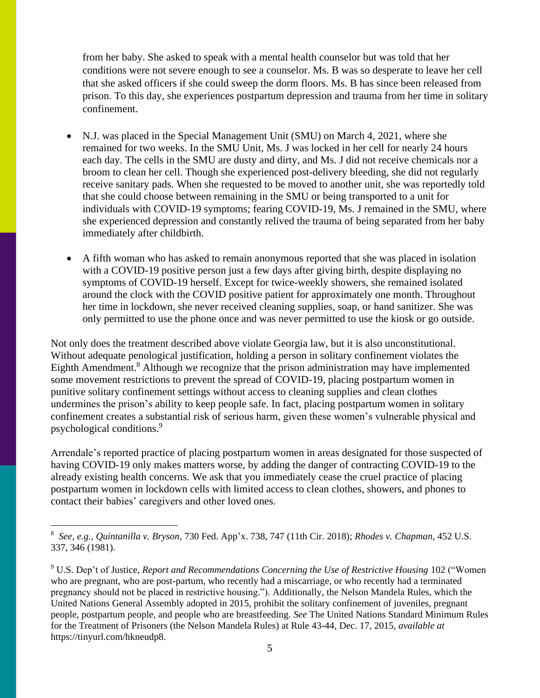from her baby. She asked to speak with a mental health counselor but was told that her conditions were not severe enough to see a counselor. Ms. B was so desperate to leave her cell that she asked officers if she could sweep the dorm floors. Ms. B has since been released from prison. To this day, she experiences postpartum depression and trauma from her time in solitary confinement.

- N.J. was placed in the Special Management Unit (SMU) on March 4, 2021, where she remained for two weeks. In the SMU Unit, Ms. J was locked in her cell for nearly 24 hours each day. The cells in the SMU are dusty and dirty, and Ms. J did not receive chemicals nor a broom to clean her cell. Though she experienced post-delivery bleeding, she did not regularly receive sanitary pads. When she requested to be moved to another unit, she was reportedly told that she could choose between remaining in the SMU or being transported to a unit for individuals with COVID-19 symptoms; fearing COVID-19, Ms. J remained in the SMU, where she experienced depression and constantly relived the trauma of being separated from her baby immediately after childbirth.
- A fifth woman who has asked to remain anonymous reported that she was placed in isolation with a COVID-19 positive person just a few days after giving birth, despite displaying no symptoms of COVID-19 herself. Except for twice-weekly showers, she remained isolated around the clock with the COVID positive patient for approximately one month. Throughout her time in lockdown, she never received cleaning supplies, soap, or hand sanitizer. She was only permitted to use the phone once and was never permitted to use the kiosk or go outside.

Not only does the treatment described above violate Georgia law, but it is also unconstitutional. Without adequate penological justification, holding a person in solitary confinement violates the Eighth Amendment.<sup>8</sup> Although we recognize that the prison administration may have implemented some movement restrictions to prevent the spread of COVID-19, placing postpartum women in punitive solitary confinement settings without access to cleaning supplies and clean clothes undermines the prison's ability to keep people safe. In fact, placing postpartum women in solitary confinement creates a substantial risk of serious harm, given these women's vulnerable physical and psychological conditions. 9

Arrendale's reported practice of placing postpartum women in areas designated for those suspected of having COVID-19 only makes matters worse, by adding the danger of contracting COVID-19 to the already existing health concerns. We ask that you immediately cease the cruel practice of placing postpartum women in lockdown cells with limited access to clean clothes, showers, and phones to contact their babies' caregivers and other loved ones.

<sup>8</sup> *See, e.g., Quintanilla v. Bryson*, 730 Fed. App'x. 738, 747 (11th Cir. 2018); *Rhodes v. [Chapman](https://1.next.westlaw.com/Link/Document/FullText?findType=Y&serNum=1981126308&pubNum=0000708&originatingDoc=I897d95f0398611e884b4b523d54ea998&refType=RP&originationContext=document&transitionType=DocumentItem&contextData=(sc.Default))*, 452 U.S. 337, 346 [\(1981\).](https://1.next.westlaw.com/Link/Document/FullText?findType=Y&serNum=1981126308&pubNum=0000708&originatingDoc=I897d95f0398611e884b4b523d54ea998&refType=RP&originationContext=document&transitionType=DocumentItem&contextData=(sc.Default))

<sup>9</sup> U.S. Dep't of Justice, *Report and Recommendations Concerning the Use of Restrictive Housing* 102 ("Women who are pregnant, who are post-partum, who recently had a miscarriage, or who recently had a terminated pregnancy should not be placed in restrictive housing."). Additionally, the Nelson Mandela Rules, which the United Nations General Assembly adopted in 2015, prohibit the solitary confinement of juveniles, pregnant people, postpartum people, and people who are breastfeeding. *See* The United Nations Standard Minimum Rules for the Treatment of Prisoners (the Nelson Mandela Rules) at Rule 43-44, Dec. 17, 2015, *available at* https://tinyurl.com/hkneudp8.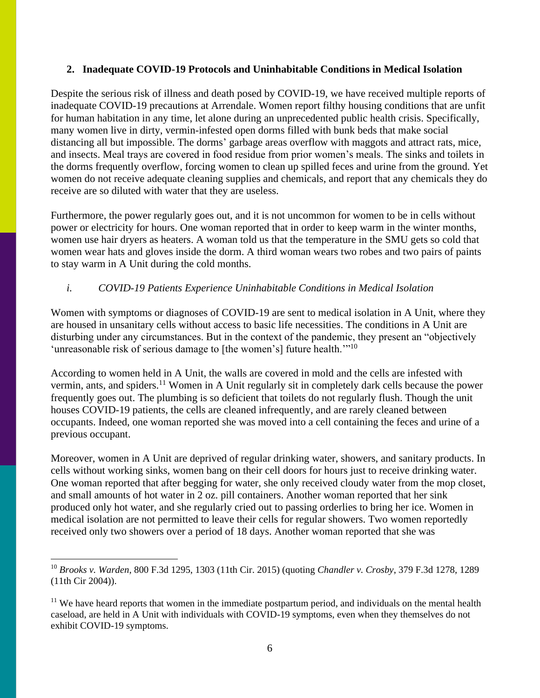#### **2. Inadequate COVID-19 Protocols and Uninhabitable Conditions in Medical Isolation**

Despite the serious risk of illness and death posed by COVID-19, we have received multiple reports of inadequate COVID-19 precautions at Arrendale. Women report filthy housing conditions that are unfit for human habitation in any time, let alone during an unprecedented public health crisis. Specifically, many women live in dirty, vermin-infested open dorms filled with bunk beds that make social distancing all but impossible. The dorms' garbage areas overflow with maggots and attract rats, mice, and insects. Meal trays are covered in food residue from prior women's meals. The sinks and toilets in the dorms frequently overflow, forcing women to clean up spilled feces and urine from the ground. Yet women do not receive adequate cleaning supplies and chemicals, and report that any chemicals they do receive are so diluted with water that they are useless.

Furthermore, the power regularly goes out, and it is not uncommon for women to be in cells without power or electricity for hours. One woman reported that in order to keep warm in the winter months, women use hair dryers as heaters. A woman told us that the temperature in the SMU gets so cold that women wear hats and gloves inside the dorm. A third woman wears two robes and two pairs of paints to stay warm in A Unit during the cold months.

### *i. COVID-19 Patients Experience Uninhabitable Conditions in Medical Isolation*

Women with symptoms or diagnoses of COVID-19 are sent to medical isolation in A Unit, where they are housed in unsanitary cells without access to basic life necessities. The conditions in A Unit are disturbing under any circumstances. But in the context of the pandemic, they present an "objectively 'unreasonable risk of serious damage to [the women's] future health."<sup>10</sup>

According to women held in A Unit, the walls are covered in mold and the cells are infested with vermin, ants, and spiders.<sup>11</sup> Women in A Unit regularly sit in completely dark cells because the power frequently goes out. The plumbing is so deficient that toilets do not regularly flush. Though the unit houses COVID-19 patients, the cells are cleaned infrequently, and are rarely cleaned between occupants. Indeed, one woman reported she was moved into a cell containing the feces and urine of a previous occupant.

Moreover, women in A Unit are deprived of regular drinking water, showers, and sanitary products. In cells without working sinks, women bang on their cell doors for hours just to receive drinking water. One woman reported that after begging for water, she only received cloudy water from the mop closet, and small amounts of hot water in 2 oz. pill containers. Another woman reported that her sink produced only hot water, and she regularly cried out to passing orderlies to bring her ice. Women in medical isolation are not permitted to leave their cells for regular showers. Two women reportedly received only two showers over a period of 18 days. Another woman reported that she was

<sup>10</sup> *Brooks v. Warden*, 800 F.3d 1295, 1303 (11th Cir. 2015) (quoting *Chandler v. Crosby*, 379 F.3d 1278, 1289 (11th Cir 2004)).

 $11$  We have heard reports that women in the immediate postpartum period, and individuals on the mental health caseload, are held in A Unit with individuals with COVID-19 symptoms, even when they themselves do not exhibit COVID-19 symptoms.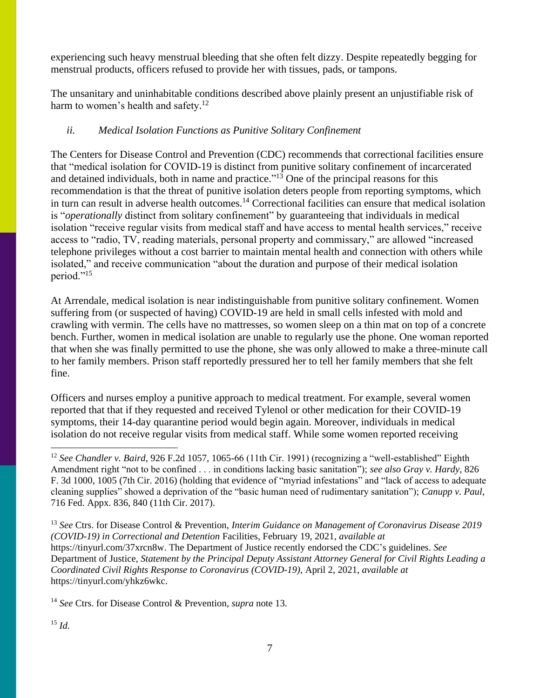experiencing such heavy menstrual bleeding that she often felt dizzy. Despite repeatedly begging for menstrual products, officers refused to provide her with tissues, pads, or tampons.

The unsanitary and uninhabitable conditions described above plainly present an unjustifiable risk of harm to women's health and safety.<sup>12</sup>

## *ii. Medical Isolation Functions as Punitive Solitary Confinement*

The Centers for Disease Control and Prevention (CDC) recommends that correctional facilities ensure that "medical isolation for COVID-19 is distinct from punitive solitary confinement of incarcerated and detained individuals, both in name and practice."<sup>13</sup> One of the principal reasons for this recommendation is that the threat of punitive isolation deters people from reporting symptoms, which in turn can result in adverse health outcomes.<sup>14</sup> Correctional facilities can ensure that medical isolation is "*operationally* distinct from solitary confinement" by guaranteeing that individuals in medical isolation "receive regular visits from medical staff and have access to mental health services," receive access to "radio, TV, reading materials, personal property and commissary," are allowed "increased telephone privileges without a cost barrier to maintain mental health and connection with others while isolated," and receive communication "about the duration and purpose of their medical isolation period."<sup>15</sup>

At Arrendale, medical isolation is near indistinguishable from punitive solitary confinement. Women suffering from (or suspected of having) COVID-19 are held in small cells infested with mold and crawling with vermin. The cells have no mattresses, so women sleep on a thin mat on top of a concrete bench. Further, women in medical isolation are unable to regularly use the phone. One woman reported that when she was finally permitted to use the phone, she was only allowed to make a three-minute call to her family members. Prison staff reportedly pressured her to tell her family members that she felt fine.

Officers and nurses employ a punitive approach to medical treatment. For example, several women reported that that if they requested and received Tylenol or other medication for their COVID-19 symptoms, their 14-day quarantine period would begin again. Moreover, individuals in medical isolation do not receive regular visits from medical staff. While some women reported receiving

<sup>13</sup> *See* Ctrs. for Disease Control & Prevention, *Interim Guidance on Management of Coronavirus Disease 2019 (COVID-19) in Correctional and Detention* Facilities, February 19, 2021, *available at*  https://tinyurl.com/37xrcn8w. The Department of Justice recently endorsed the CDC's guidelines. *See*  Department of Justice, *Statement by the Principal Deputy Assistant Attorney General for Civil Rights Leading a Coordinated Civil Rights Response to Coronavirus (COVID-19)*, April 2, 2021, *available at*  https://tinyurl.com/yhkz6wkc.

<sup>14</sup> *See* Ctrs. for Disease Control & Prevention, *supra* note 13.

<sup>&</sup>lt;sup>12</sup> See Chandler v. Baird, 926 F.2d 1057, 1065-66 (11th Cir. 1991) (recognizing a "well-established" Eighth Amendment right "not to be confined . . . in conditions lacking basic sanitation"); *see also Gray v. Hardy*, 826 F. 3d 1000, 1005 (7th Cir. 2016) (holding that evidence of "myriad infestations" and "lack of access to adequate cleaning supplies" showed a deprivation of the "basic human need of rudimentary sanitation"); *Canupp v. Paul*, 716 Fed. Appx. 836, 840 (11th Cir. 2017).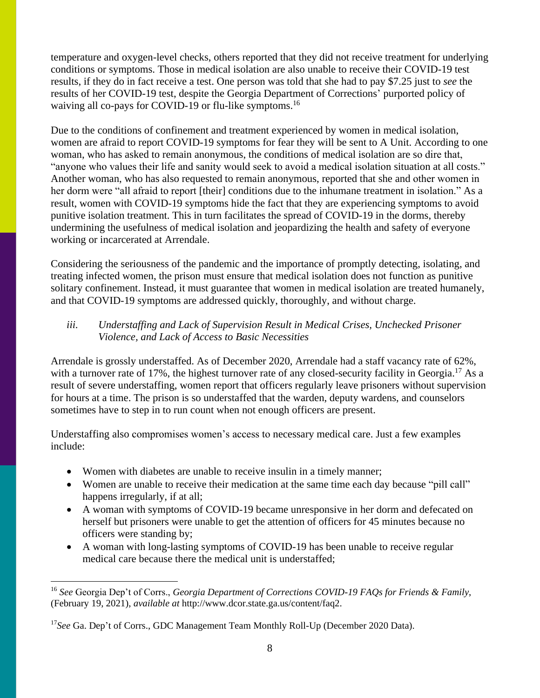temperature and oxygen-level checks, others reported that they did not receive treatment for underlying conditions or symptoms. Those in medical isolation are also unable to receive their COVID-19 test results, if they do in fact receive a test. One person was told that she had to pay \$7.25 just to *see* the results of her COVID-19 test, despite the Georgia Department of Corrections' purported policy of waiving all co-pays for COVID-19 or flu-like symptoms.<sup>16</sup>

Due to the conditions of confinement and treatment experienced by women in medical isolation, women are afraid to report COVID-19 symptoms for fear they will be sent to A Unit. According to one woman, who has asked to remain anonymous, the conditions of medical isolation are so dire that, "anyone who values their life and sanity would seek to avoid a medical isolation situation at all costs." Another woman, who has also requested to remain anonymous, reported that she and other women in her dorm were "all afraid to report [their] conditions due to the inhumane treatment in isolation." As a result, women with COVID-19 symptoms hide the fact that they are experiencing symptoms to avoid punitive isolation treatment. This in turn facilitates the spread of COVID-19 in the dorms, thereby undermining the usefulness of medical isolation and jeopardizing the health and safety of everyone working or incarcerated at Arrendale.

Considering the seriousness of the pandemic and the importance of promptly detecting, isolating, and treating infected women, the prison must ensure that medical isolation does not function as punitive solitary confinement. Instead, it must guarantee that women in medical isolation are treated humanely, and that COVID-19 symptoms are addressed quickly, thoroughly, and without charge.

## *iii. Understaffing and Lack of Supervision Result in Medical Crises, Unchecked Prisoner Violence, and Lack of Access to Basic Necessities*

Arrendale is grossly understaffed. As of December 2020, Arrendale had a staff vacancy rate of 62%, with a turnover rate of 17%, the highest turnover rate of any closed-security facility in Georgia.<sup>17</sup> As a result of severe understaffing, women report that officers regularly leave prisoners without supervision for hours at a time. The prison is so understaffed that the warden, deputy wardens, and counselors sometimes have to step in to run count when not enough officers are present.

Understaffing also compromises women's access to necessary medical care. Just a few examples include:

- Women with diabetes are unable to receive insulin in a timely manner;
- Women are unable to receive their medication at the same time each day because "pill call" happens irregularly, if at all;
- A woman with symptoms of COVID-19 became unresponsive in her dorm and defecated on herself but prisoners were unable to get the attention of officers for 45 minutes because no officers were standing by;
- A woman with long-lasting symptoms of COVID-19 has been unable to receive regular medical care because there the medical unit is understaffed;

<sup>16</sup> *See* Georgia Dep't of Corrs., *Georgia Department of Corrections COVID-19 FAQs for Friends & Family*, (February 19, 2021), *available at* http://www.dcor.state.ga.us/content/faq2.

<sup>&</sup>lt;sup>17</sup>See Ga. Dep't of Corrs., GDC Management Team Monthly Roll-Up (December 2020 Data).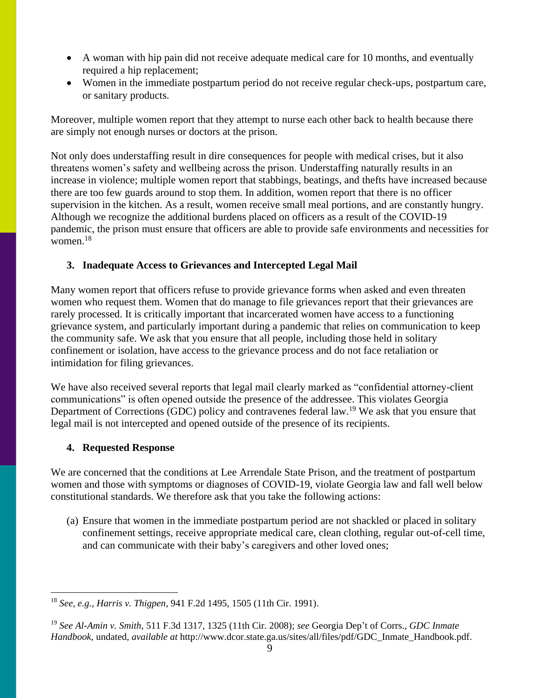- A woman with hip pain did not receive adequate medical care for 10 months, and eventually required a hip replacement;
- Women in the immediate postpartum period do not receive regular check-ups, postpartum care, or sanitary products.

Moreover, multiple women report that they attempt to nurse each other back to health because there are simply not enough nurses or doctors at the prison.

Not only does understaffing result in dire consequences for people with medical crises, but it also threatens women's safety and wellbeing across the prison. Understaffing naturally results in an increase in violence; multiple women report that stabbings, beatings, and thefts have increased because there are too few guards around to stop them. In addition, women report that there is no officer supervision in the kitchen. As a result, women receive small meal portions, and are constantly hungry. Although we recognize the additional burdens placed on officers as a result of the COVID-19 pandemic, the prison must ensure that officers are able to provide safe environments and necessities for women. 18

### **3. Inadequate Access to Grievances and Intercepted Legal Mail**

Many women report that officers refuse to provide grievance forms when asked and even threaten women who request them. Women that do manage to file grievances report that their grievances are rarely processed. It is critically important that incarcerated women have access to a functioning grievance system, and particularly important during a pandemic that relies on communication to keep the community safe. We ask that you ensure that all people, including those held in solitary confinement or isolation, have access to the grievance process and do not face retaliation or intimidation for filing grievances.

We have also received several reports that legal mail clearly marked as "confidential attorney-client" communications" is often opened outside the presence of the addressee. This violates Georgia Department of Corrections (GDC) policy and contravenes federal law.<sup>19</sup> We ask that you ensure that legal mail is not intercepted and opened outside of the presence of its recipients.

### **4. Requested Response**

We are concerned that the conditions at Lee Arrendale State Prison, and the treatment of postpartum women and those with symptoms or diagnoses of COVID-19, violate Georgia law and fall well below constitutional standards. We therefore ask that you take the following actions:

(a) Ensure that women in the immediate postpartum period are not shackled or placed in solitary confinement settings, receive appropriate medical care, clean clothing, regular out-of-cell time, and can communicate with their baby's caregivers and other loved ones;

<sup>18</sup> *See, e.g., Harris v. Thigpen*, 941 F.2d 1495, 1505 (11th Cir. 1991).

<sup>19</sup> *See Al-Amin v. Smith*, 511 F.3d 1317, 1325 (11th Cir. 2008); *see* Georgia Dep't of Corrs., *GDC Inmate Handbook*, undated, *available at* http://www.dcor.state.ga.us/sites/all/files/pdf/GDC\_Inmate\_Handbook.pdf.